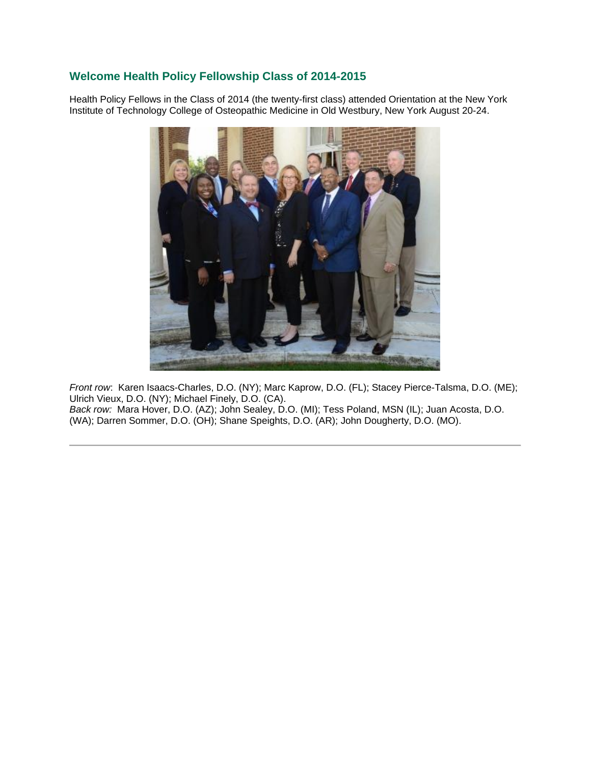## **Welcome Health Policy Fellowship Class of 2014-2015**

Health Policy Fellows in the Class of 2014 (the twenty-first class) attended Orientation at the New York Institute of Technology College of Osteopathic Medicine in Old Westbury, New York August 20-24.



*Front row*: Karen Isaacs-Charles, D.O. (NY); Marc Kaprow, D.O. (FL); Stacey Pierce-Talsma, D.O. (ME); Ulrich Vieux, D.O. (NY); Michael Finely, D.O. (CA). *Back row:* Mara Hover, D.O. (AZ); John Sealey, D.O. (MI); Tess Poland, MSN (IL); Juan Acosta, D.O. (WA); Darren Sommer, D.O. (OH); Shane Speights, D.O. (AR); John Dougherty, D.O. (MO).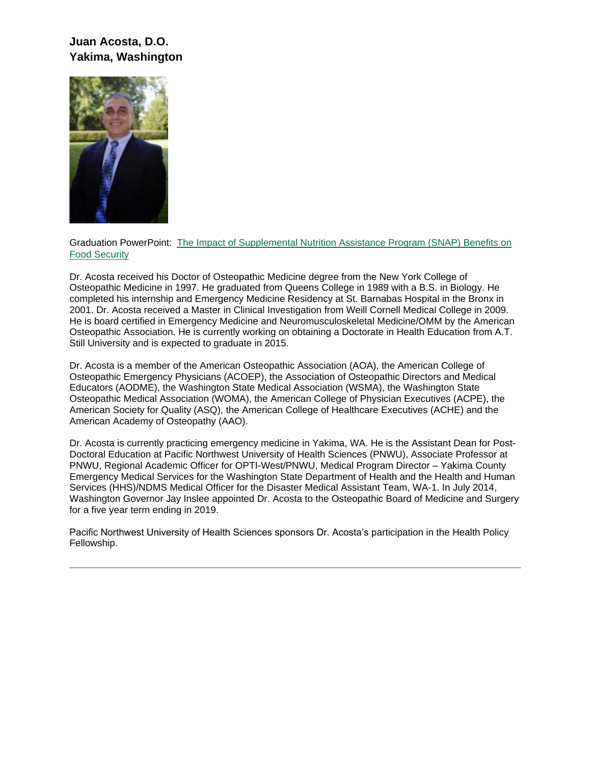# **Juan Acosta, D.O. Yakima, Washington**



Graduation PowerPoint: [The Impact of Supplemental Nutrition Assistance Program \(SNAP\) Benefits on](https://ohio.box.com/s/3eblxxzaj6ktz0eio79lu5mjbt6ybire)  [Food Security](https://ohio.box.com/s/3eblxxzaj6ktz0eio79lu5mjbt6ybire)

Dr. Acosta received his Doctor of Osteopathic Medicine degree from the New York College of Osteopathic Medicine in 1997. He graduated from Queens College in 1989 with a B.S. in Biology. He completed his internship and Emergency Medicine Residency at St. Barnabas Hospital in the Bronx in 2001. Dr. Acosta received a Master in Clinical Investigation from Weill Cornell Medical College in 2009. He is board certified in Emergency Medicine and Neuromusculoskeletal Medicine/OMM by the American Osteopathic Association. He is currently working on obtaining a Doctorate in Health Education from A.T. Still University and is expected to graduate in 2015.

Dr. Acosta is a member of the American Osteopathic Association (AOA), the American College of Osteopathic Emergency Physicians (ACOEP), the Association of Osteopathic Directors and Medical Educators (AODME), the Washington State Medical Association (WSMA), the Washington State Osteopathic Medical Association (WOMA), the American College of Physician Executives (ACPE), the American Society for Quality (ASQ), the American College of Healthcare Executives (ACHE) and the American Academy of Osteopathy (AAO).

Dr. Acosta is currently practicing emergency medicine in Yakima, WA. He is the Assistant Dean for Post-Doctoral Education at Pacific Northwest University of Health Sciences (PNWU), Associate Professor at PNWU, Regional Academic Officer for OPTI-West/PNWU, Medical Program Director – Yakima County Emergency Medical Services for the Washington State Department of Health and the Health and Human Services (HHS)/NDMS Medical Officer for the Disaster Medical Assistant Team, WA-1. In July 2014, Washington Governor Jay Inslee appointed Dr. Acosta to the Osteopathic Board of Medicine and Surgery for a five year term ending in 2019.

Pacific Northwest University of Health Sciences sponsors Dr. Acosta's participation in the Health Policy Fellowship.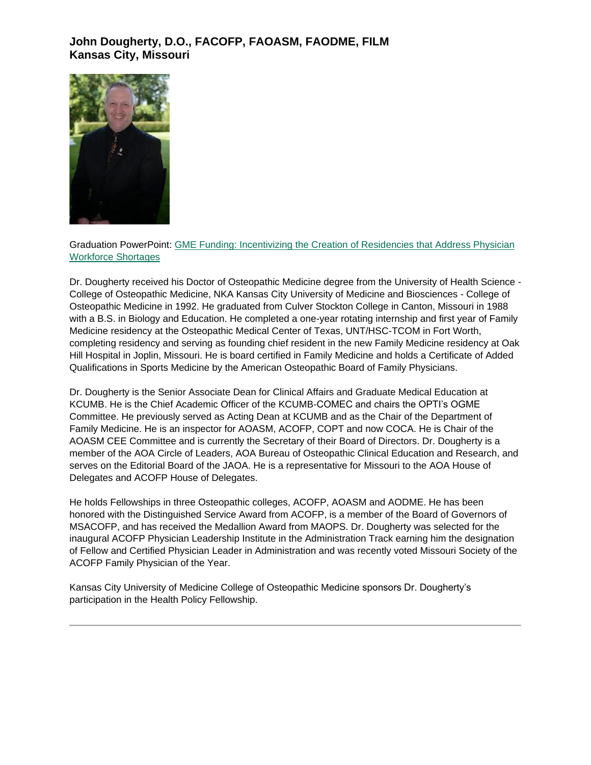## **John Dougherty, D.O., FACOFP, FAOASM, FAODME, FILM Kansas City, Missouri**



Graduation PowerPoint: [GME Funding: Incentivizing the Creation of Residencies that Address Physician](http://www.oucom.ohiou.edu/hpf/pdf/September%202015/dougherty%20HPF%20FINAL%20ppt.pdf)  [Workforce Shortages](http://www.oucom.ohiou.edu/hpf/pdf/September%202015/dougherty%20HPF%20FINAL%20ppt.pdf)

Dr. Dougherty received his Doctor of Osteopathic Medicine degree from the University of Health Science - College of Osteopathic Medicine, NKA Kansas City University of Medicine and Biosciences - College of Osteopathic Medicine in 1992. He graduated from Culver Stockton College in Canton, Missouri in 1988 with a B.S. in Biology and Education. He completed a one-year rotating internship and first year of Family Medicine residency at the Osteopathic Medical Center of Texas, UNT/HSC-TCOM in Fort Worth, completing residency and serving as founding chief resident in the new Family Medicine residency at Oak Hill Hospital in Joplin, Missouri. He is board certified in Family Medicine and holds a Certificate of Added Qualifications in Sports Medicine by the American Osteopathic Board of Family Physicians.

Dr. Dougherty is the Senior Associate Dean for Clinical Affairs and Graduate Medical Education at KCUMB. He is the Chief Academic Officer of the KCUMB-COMEC and chairs the OPTI's OGME Committee. He previously served as Acting Dean at KCUMB and as the Chair of the Department of Family Medicine. He is an inspector for AOASM, ACOFP, COPT and now COCA. He is Chair of the AOASM CEE Committee and is currently the Secretary of their Board of Directors. Dr. Dougherty is a member of the AOA Circle of Leaders, AOA Bureau of Osteopathic Clinical Education and Research, and serves on the Editorial Board of the JAOA. He is a representative for Missouri to the AOA House of Delegates and ACOFP House of Delegates.

He holds Fellowships in three Osteopathic colleges, ACOFP, AOASM and AODME. He has been honored with the Distinguished Service Award from ACOFP, is a member of the Board of Governors of MSACOFP, and has received the Medallion Award from MAOPS. Dr. Dougherty was selected for the inaugural ACOFP Physician Leadership Institute in the Administration Track earning him the designation of Fellow and Certified Physician Leader in Administration and was recently voted Missouri Society of the ACOFP Family Physician of the Year.

Kansas City University of Medicine College of Osteopathic Medicine sponsors Dr. Dougherty's participation in the Health Policy Fellowship.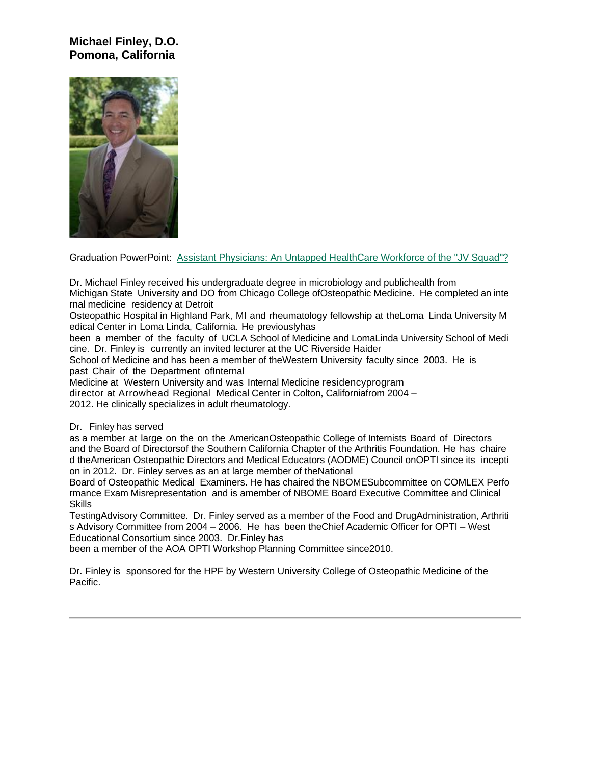## **Michael Finley, D.O. Pomona, California**



Graduation PowerPoint: [Assistant Physicians: An Untapped HealthCare Workforce of the "JV Squad"?](http://www.oucom.ohiou.edu/hpf/pdf/September%202015/091815_JMFHPF-AsstPhysicans.pdf)

Dr. Michael Finley received his undergraduate degree in microbiology and publichealth from

Michigan State University and DO from Chicago College ofOsteopathic Medicine. He completed an inte rnal medicine residency at Detroit

Osteopathic Hospital in Highland Park, MI and rheumatology fellowship at theLoma Linda University M edical Center in Loma Linda, California. He previouslyhas

been a member of the faculty of UCLA School of Medicine and LomaLinda University School of Medi cine. Dr. Finley is currently an invited lecturer at the UC Riverside Haider

School of Medicine and has been a member of theWestern University faculty since 2003. He is past Chair of the Department ofInternal

Medicine at Western University and was Internal Medicine residencyprogram

director at Arrowhead Regional Medical Center in Colton, Californiafrom 2004 –

2012. He clinically specializes in adult rheumatology.

#### Dr. Finley has served

as a member at large on the on the AmericanOsteopathic College of Internists Board of Directors and the Board of Directorsof the Southern California Chapter of the Arthritis Foundation. He has chaire d theAmerican Osteopathic Directors and Medical Educators (AODME) Council onOPTI since its incepti on in 2012. Dr. Finley serves as an at large member of theNational

Board of Osteopathic Medical Examiners. He has chaired the NBOMESubcommittee on COMLEX Perfo rmance Exam Misrepresentation and is amember of NBOME Board Executive Committee and Clinical **Skills** 

TestingAdvisory Committee. Dr. Finley served as a member of the Food and DrugAdministration, Arthriti s Advisory Committee from 2004 – 2006. He has been theChief Academic Officer for OPTI – West Educational Consortium since 2003. Dr.Finley has

been a member of the AOA OPTI Workshop Planning Committee since2010.

Dr. Finley is sponsored for the HPF by Western University College of Osteopathic Medicine of the Pacific.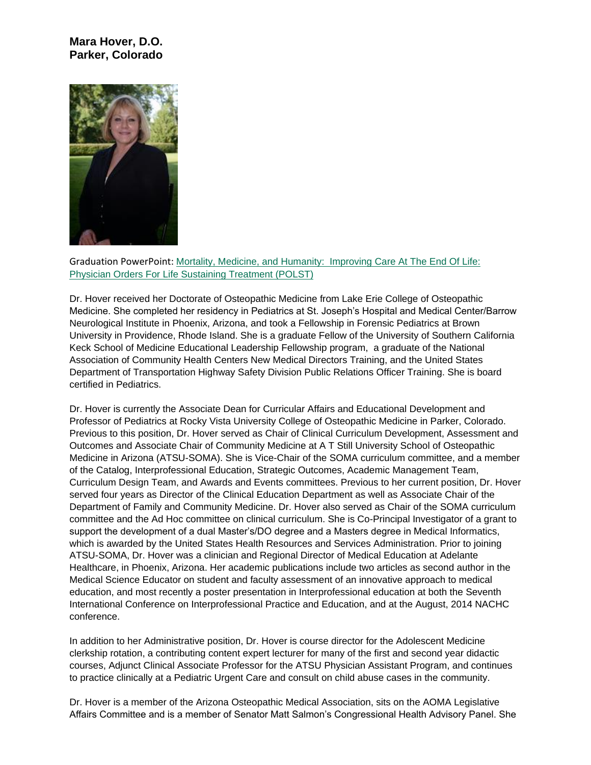#### **Mara Hover, D.O. Parker, Colorado**



Graduation PowerPoint: Mortality, Medicine, and Humanity: [Improving Care At The End Of Life:](http://www.oucom.ohiou.edu/hpf/pdf/September%202015/Mara%20HPF%20Final.pptx%20REV.pdf)  [Physician Orders For Life Sustaining Treatment \(POLST\)](http://www.oucom.ohiou.edu/hpf/pdf/September%202015/Mara%20HPF%20Final.pptx%20REV.pdf)

Dr. Hover received her Doctorate of Osteopathic Medicine from Lake Erie College of Osteopathic Medicine. She completed her residency in Pediatrics at St. Joseph's Hospital and Medical Center/Barrow Neurological Institute in Phoenix, Arizona, and took a Fellowship in Forensic Pediatrics at Brown University in Providence, Rhode Island. She is a graduate Fellow of the University of Southern California Keck School of Medicine Educational Leadership Fellowship program, a graduate of the National Association of Community Health Centers New Medical Directors Training, and the United States Department of Transportation Highway Safety Division Public Relations Officer Training. She is board certified in Pediatrics.

Dr. Hover is currently the Associate Dean for Curricular Affairs and Educational Development and Professor of Pediatrics at Rocky Vista University College of Osteopathic Medicine in Parker, Colorado. Previous to this position, Dr. Hover served as Chair of Clinical Curriculum Development, Assessment and Outcomes and Associate Chair of Community Medicine at A T Still University School of Osteopathic Medicine in Arizona (ATSU-SOMA). She is Vice-Chair of the SOMA curriculum committee, and a member of the Catalog, Interprofessional Education, Strategic Outcomes, Academic Management Team, Curriculum Design Team, and Awards and Events committees. Previous to her current position, Dr. Hover served four years as Director of the Clinical Education Department as well as Associate Chair of the Department of Family and Community Medicine. Dr. Hover also served as Chair of the SOMA curriculum committee and the Ad Hoc committee on clinical curriculum. She is Co-Principal Investigator of a grant to support the development of a dual Master's/DO degree and a Masters degree in Medical Informatics, which is awarded by the United States Health Resources and Services Administration. Prior to joining ATSU-SOMA, Dr. Hover was a clinician and Regional Director of Medical Education at Adelante Healthcare, in Phoenix, Arizona. Her academic publications include two articles as second author in the Medical Science Educator on student and faculty assessment of an innovative approach to medical education, and most recently a poster presentation in Interprofessional education at both the Seventh International Conference on Interprofessional Practice and Education, and at the August, 2014 NACHC conference.

In addition to her Administrative position, Dr. Hover is course director for the Adolescent Medicine clerkship rotation, a contributing content expert lecturer for many of the first and second year didactic courses, Adjunct Clinical Associate Professor for the ATSU Physician Assistant Program, and continues to practice clinically at a Pediatric Urgent Care and consult on child abuse cases in the community.

Dr. Hover is a member of the Arizona Osteopathic Medical Association, sits on the AOMA Legislative Affairs Committee and is a member of Senator Matt Salmon's Congressional Health Advisory Panel. She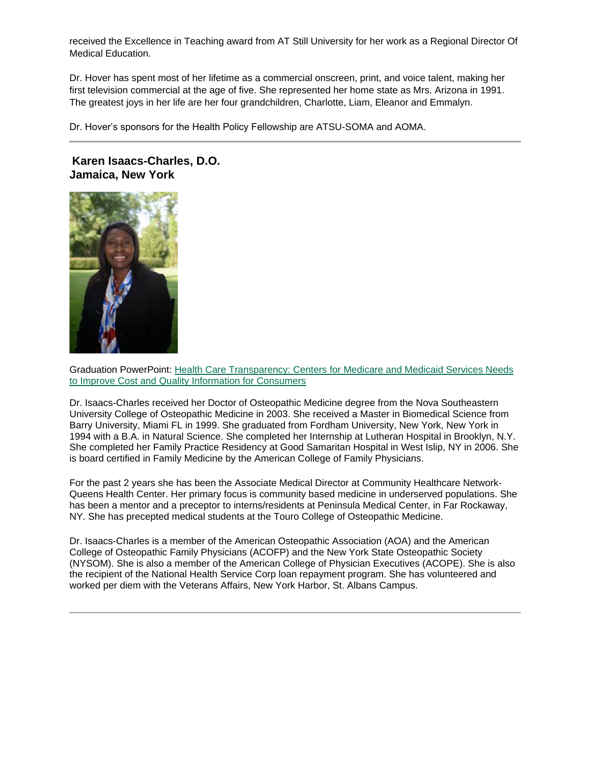received the Excellence in Teaching award from AT Still University for her work as a Regional Director Of Medical Education.

Dr. Hover has spent most of her lifetime as a commercial onscreen, print, and voice talent, making her first television commercial at the age of five. She represented her home state as Mrs. Arizona in 1991. The greatest joys in her life are her four grandchildren, Charlotte, Liam, Eleanor and Emmalyn.

Dr. Hover's sponsors for the Health Policy Fellowship are ATSU-SOMA and AOMA.

**Karen Isaacs-Charles, D.O. Jamaica, New York**



Graduation PowerPoint: [Health Care Transparency: Centers for Medicare and Medicaid Services Needs](http://www.oucom.ohiou.edu/hpf/pdf/September%202015/Karen%20Health%20Care%20Transparency%2009%2016%202015.pptx%20%20REV.pdf)  [to Improve Cost and Quality Information for Consumers](http://www.oucom.ohiou.edu/hpf/pdf/September%202015/Karen%20Health%20Care%20Transparency%2009%2016%202015.pptx%20%20REV.pdf)

Dr. Isaacs-Charles received her Doctor of Osteopathic Medicine degree from the Nova Southeastern University College of Osteopathic Medicine in 2003. She received a Master in Biomedical Science from Barry University, Miami FL in 1999. She graduated from Fordham University, New York, New York in 1994 with a B.A. in Natural Science. She completed her Internship at Lutheran Hospital in Brooklyn, N.Y. She completed her Family Practice Residency at Good Samaritan Hospital in West Islip, NY in 2006. She is board certified in Family Medicine by the American College of Family Physicians.

For the past 2 years she has been the Associate Medical Director at Community Healthcare Network-Queens Health Center. Her primary focus is community based medicine in underserved populations. She has been a mentor and a preceptor to interns/residents at Peninsula Medical Center, in Far Rockaway, NY. She has precepted medical students at the Touro College of Osteopathic Medicine.

Dr. Isaacs-Charles is a member of the American Osteopathic Association (AOA) and the American College of Osteopathic Family Physicians (ACOFP) and the New York State Osteopathic Society (NYSOM). She is also a member of the American College of Physician Executives (ACOPE). She is also the recipient of the National Health Service Corp loan repayment program. She has volunteered and worked per diem with the Veterans Affairs, New York Harbor, St. Albans Campus.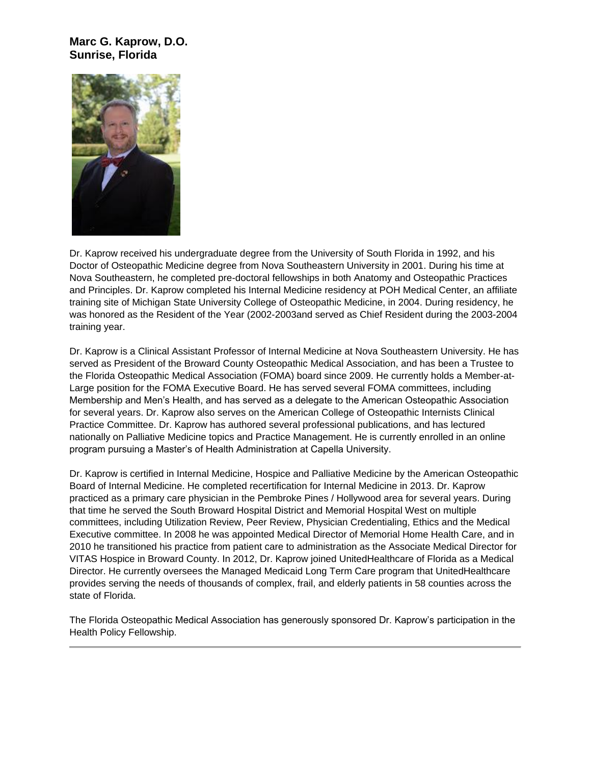#### **Marc G. Kaprow, D.O. Sunrise, Florida**



Dr. Kaprow received his undergraduate degree from the University of South Florida in 1992, and his Doctor of Osteopathic Medicine degree from Nova Southeastern University in 2001. During his time at Nova Southeastern, he completed pre-doctoral fellowships in both Anatomy and Osteopathic Practices and Principles. Dr. Kaprow completed his Internal Medicine residency at POH Medical Center, an affiliate training site of Michigan State University College of Osteopathic Medicine, in 2004. During residency, he was honored as the Resident of the Year (2002-2003and served as Chief Resident during the 2003-2004 training year.

Dr. Kaprow is a Clinical Assistant Professor of Internal Medicine at Nova Southeastern University. He has served as President of the Broward County Osteopathic Medical Association, and has been a Trustee to the Florida Osteopathic Medical Association (FOMA) board since 2009. He currently holds a Member-at-Large position for the FOMA Executive Board. He has served several FOMA committees, including Membership and Men's Health, and has served as a delegate to the American Osteopathic Association for several years. Dr. Kaprow also serves on the American College of Osteopathic Internists Clinical Practice Committee. Dr. Kaprow has authored several professional publications, and has lectured nationally on Palliative Medicine topics and Practice Management. He is currently enrolled in an online program pursuing a Master's of Health Administration at Capella University.

Dr. Kaprow is certified in Internal Medicine, Hospice and Palliative Medicine by the American Osteopathic Board of Internal Medicine. He completed recertification for Internal Medicine in 2013. Dr. Kaprow practiced as a primary care physician in the Pembroke Pines / Hollywood area for several years. During that time he served the South Broward Hospital District and Memorial Hospital West on multiple committees, including Utilization Review, Peer Review, Physician Credentialing, Ethics and the Medical Executive committee. In 2008 he was appointed Medical Director of Memorial Home Health Care, and in 2010 he transitioned his practice from patient care to administration as the Associate Medical Director for VITAS Hospice in Broward County. In 2012, Dr. Kaprow joined UnitedHealthcare of Florida as a Medical Director. He currently oversees the Managed Medicaid Long Term Care program that UnitedHealthcare provides serving the needs of thousands of complex, frail, and elderly patients in 58 counties across the state of Florida.

The Florida Osteopathic Medical Association has generously sponsored Dr. Kaprow's participation in the Health Policy Fellowship.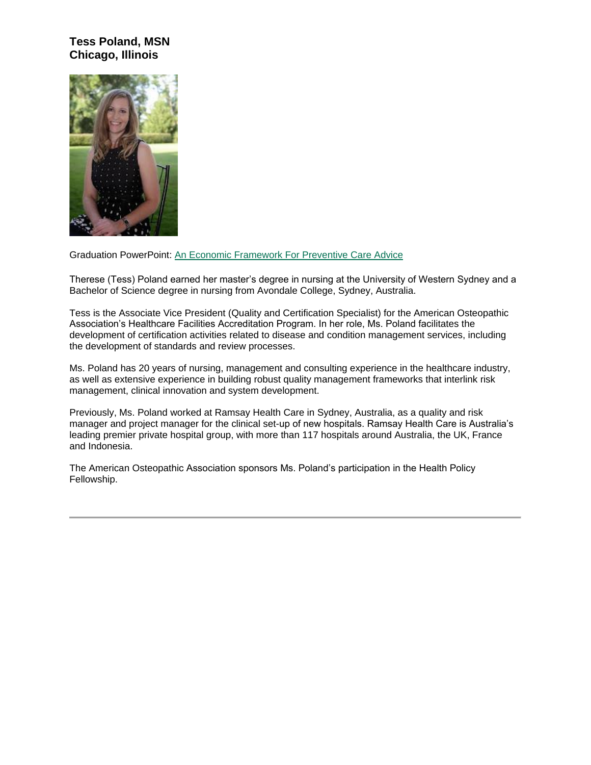## **Tess Poland, MSN Chicago, Illinois**



Graduation PowerPoint: [An Economic Framework For Preventive Care Advice](http://www.oucom.ohiou.edu/hpf/pdf/September%202015/Tess%20final%202.pdf)

Therese (Tess) Poland earned her master's degree in nursing at the University of Western Sydney and a Bachelor of Science degree in nursing from Avondale College, Sydney, Australia.

Tess is the Associate Vice President (Quality and Certification Specialist) for the American Osteopathic Association's Healthcare Facilities Accreditation Program. In her role, Ms. Poland facilitates the development of certification activities related to disease and condition management services, including the development of standards and review processes.

Ms. Poland has 20 years of nursing, management and consulting experience in the healthcare industry, as well as extensive experience in building robust quality management frameworks that interlink risk management, clinical innovation and system development.

Previously, Ms. Poland worked at Ramsay Health Care in Sydney, Australia, as a quality and risk manager and project manager for the clinical set-up of new hospitals. Ramsay Health Care is Australia's leading premier private hospital group, with more than 117 hospitals around Australia, the UK, France and Indonesia.

The American Osteopathic Association sponsors Ms. Poland's participation in the Health Policy Fellowship.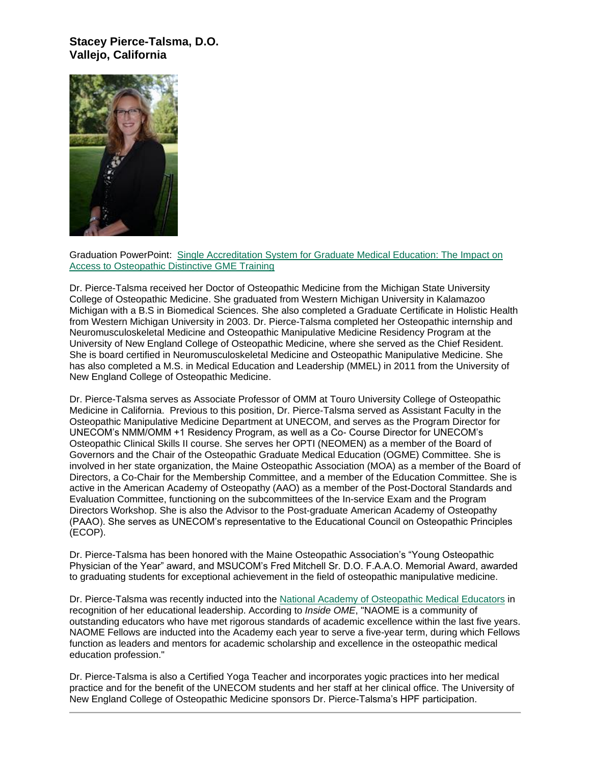#### **Stacey Pierce-Talsma, D.O. Vallejo, California**



Graduation PowerPoint: [Single Accreditation System for Graduate Medical Education: The Impact on](http://www.oucom.ohiou.edu/hpf/pdf/September%202015/Stacey%20HPF%20powerpoint.pptx%20REV%201.pdf)  [Access to Osteopathic Distinctive GME Training](http://www.oucom.ohiou.edu/hpf/pdf/September%202015/Stacey%20HPF%20powerpoint.pptx%20REV%201.pdf)

Dr. Pierce-Talsma received her Doctor of Osteopathic Medicine from the Michigan State University College of Osteopathic Medicine. She graduated from Western Michigan University in Kalamazoo Michigan with a B.S in Biomedical Sciences. She also completed a Graduate Certificate in Holistic Health from Western Michigan University in 2003. Dr. Pierce-Talsma completed her Osteopathic internship and Neuromusculoskeletal Medicine and Osteopathic Manipulative Medicine Residency Program at the University of New England College of Osteopathic Medicine, where she served as the Chief Resident. She is board certified in Neuromusculoskeletal Medicine and Osteopathic Manipulative Medicine. She has also completed a M.S. in Medical Education and Leadership (MMEL) in 2011 from the University of New England College of Osteopathic Medicine.

Dr. Pierce-Talsma serves as Associate Professor of OMM at Touro University College of Osteopathic Medicine in California. Previous to this position, Dr. Pierce-Talsma served as Assistant Faculty in the Osteopathic Manipulative Medicine Department at UNECOM, and serves as the Program Director for UNECOM's NMM/OMM +1 Residency Program, as well as a Co- Course Director for UNECOM's Osteopathic Clinical Skills II course. She serves her OPTI (NEOMEN) as a member of the Board of Governors and the Chair of the Osteopathic Graduate Medical Education (OGME) Committee. She is involved in her state organization, the Maine Osteopathic Association (MOA) as a member of the Board of Directors, a Co-Chair for the Membership Committee, and a member of the Education Committee. She is active in the American Academy of Osteopathy (AAO) as a member of the Post-Doctoral Standards and Evaluation Committee, functioning on the subcommittees of the In-service Exam and the Program Directors Workshop. She is also the Advisor to the Post-graduate American Academy of Osteopathy (PAAO). She serves as UNECOM's representative to the Educational Council on Osteopathic Principles (ECOP).

Dr. Pierce-Talsma has been honored with the Maine Osteopathic Association's "Young Osteopathic Physician of the Year" award, and MSUCOM's Fred Mitchell Sr. D.O. F.A.A.O. Memorial Award, awarded to graduating students for exceptional achievement in the field of osteopathic manipulative medicine.

Dr. Pierce-Talsma was recently inducted into the [National Academy of Osteopathic Medical Educators](http://www.aacom.org/ome/councils/naome) in recognition of her educational leadership. According to *Inside OME*, "NAOME is a community of outstanding educators who have met rigorous standards of academic excellence within the last five years. NAOME Fellows are inducted into the Academy each year to serve a five-year term, during which Fellows function as leaders and mentors for academic scholarship and excellence in the osteopathic medical education profession."

Dr. Pierce-Talsma is also a Certified Yoga Teacher and incorporates yogic practices into her medical practice and for the benefit of the UNECOM students and her staff at her clinical office. The University of New England College of Osteopathic Medicine sponsors Dr. Pierce-Talsma's HPF participation.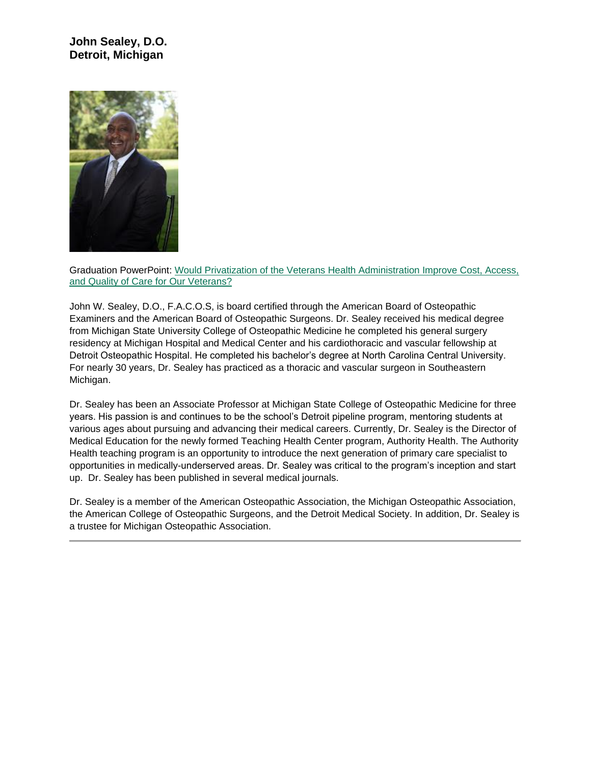## **John Sealey, D.O. Detroit, Michigan**



Graduation PowerPoint: [Would Privatization of the Veterans Health Administration Improve Cost, Access,](http://www.oucom.ohiou.edu/hpf/pdf/September%202015/John%20Sealey%20Would%20Privatization%20of%20the%20VHA%20System%20Improve%20Access.pptx%20REV.pdf)  [and Quality of Care for Our Veterans?](http://www.oucom.ohiou.edu/hpf/pdf/September%202015/John%20Sealey%20Would%20Privatization%20of%20the%20VHA%20System%20Improve%20Access.pptx%20REV.pdf)

John W. Sealey, D.O., F.A.C.O.S, is board certified through the American Board of Osteopathic Examiners and the American Board of Osteopathic Surgeons. Dr. Sealey received his medical degree from Michigan State University College of Osteopathic Medicine he completed his general surgery residency at Michigan Hospital and Medical Center and his cardiothoracic and vascular fellowship at Detroit Osteopathic Hospital. He completed his bachelor's degree at North Carolina Central University. For nearly 30 years, Dr. Sealey has practiced as a thoracic and vascular surgeon in Southeastern Michigan.

Dr. Sealey has been an Associate Professor at Michigan State College of Osteopathic Medicine for three years. His passion is and continues to be the school's Detroit pipeline program, mentoring students at various ages about pursuing and advancing their medical careers. Currently, Dr. Sealey is the Director of Medical Education for the newly formed Teaching Health Center program, Authority Health. The Authority Health teaching program is an opportunity to introduce the next generation of primary care specialist to opportunities in medically-underserved areas. Dr. Sealey was critical to the program's inception and start up. Dr. Sealey has been published in several medical journals.

Dr. Sealey is a member of the American Osteopathic Association, the Michigan Osteopathic Association, the American College of Osteopathic Surgeons, and the Detroit Medical Society. In addition, Dr. Sealey is a trustee for Michigan Osteopathic Association.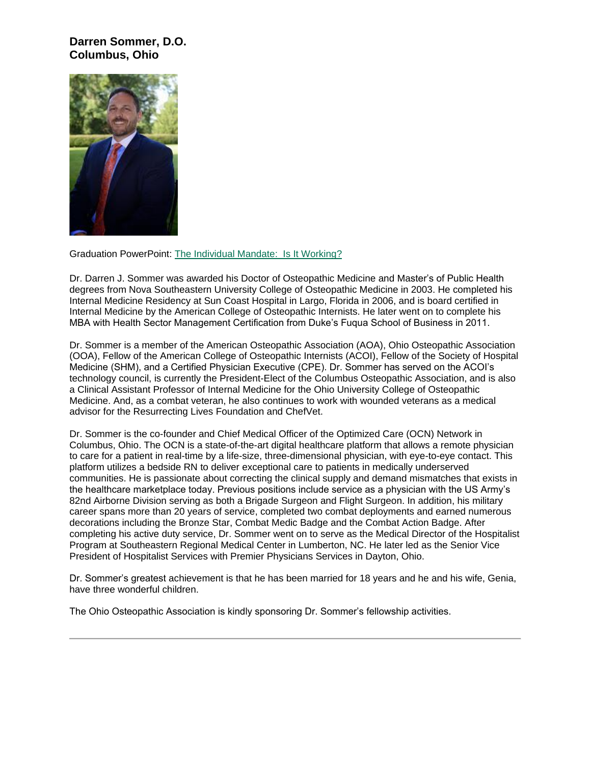#### **Darren Sommer, D.O. Columbus, Ohio**



Graduation PowerPoint: [The Individual Mandate:](http://www.oucom.ohiou.edu/hpf/pdf/September%202015/SD%20Sommer%20HPF%20IM%20Lecture.pptx%20%20REV.pdf) Is It Working?

Dr. Darren J. Sommer was awarded his Doctor of Osteopathic Medicine and Master's of Public Health degrees from Nova Southeastern University College of Osteopathic Medicine in 2003. He completed his Internal Medicine Residency at Sun Coast Hospital in Largo, Florida in 2006, and is board certified in Internal Medicine by the American College of Osteopathic Internists. He later went on to complete his MBA with Health Sector Management Certification from Duke's Fuqua School of Business in 2011.

Dr. Sommer is a member of the American Osteopathic Association (AOA), Ohio Osteopathic Association (OOA), Fellow of the American College of Osteopathic Internists (ACOI), Fellow of the Society of Hospital Medicine (SHM), and a Certified Physician Executive (CPE). Dr. Sommer has served on the ACOI's technology council, is currently the President-Elect of the Columbus Osteopathic Association, and is also a Clinical Assistant Professor of Internal Medicine for the Ohio University College of Osteopathic Medicine. And, as a combat veteran, he also continues to work with wounded veterans as a medical advisor for the Resurrecting Lives Foundation and ChefVet.

Dr. Sommer is the co-founder and Chief Medical Officer of the Optimized Care (OCN) Network in Columbus, Ohio. The OCN is a state-of-the-art digital healthcare platform that allows a remote physician to care for a patient in real-time by a life-size, three-dimensional physician, with eye-to-eye contact. This platform utilizes a bedside RN to deliver exceptional care to patients in medically underserved communities. He is passionate about correcting the clinical supply and demand mismatches that exists in the healthcare marketplace today. Previous positions include service as a physician with the US Army's 82nd Airborne Division serving as both a Brigade Surgeon and Flight Surgeon. In addition, his military career spans more than 20 years of service, completed two combat deployments and earned numerous decorations including the Bronze Star, Combat Medic Badge and the Combat Action Badge. After completing his active duty service, Dr. Sommer went on to serve as the Medical Director of the Hospitalist Program at Southeastern Regional Medical Center in Lumberton, NC. He later led as the Senior Vice President of Hospitalist Services with Premier Physicians Services in Dayton, Ohio.

Dr. Sommer's greatest achievement is that he has been married for 18 years and he and his wife, Genia, have three wonderful children.

The Ohio Osteopathic Association is kindly sponsoring Dr. Sommer's fellowship activities.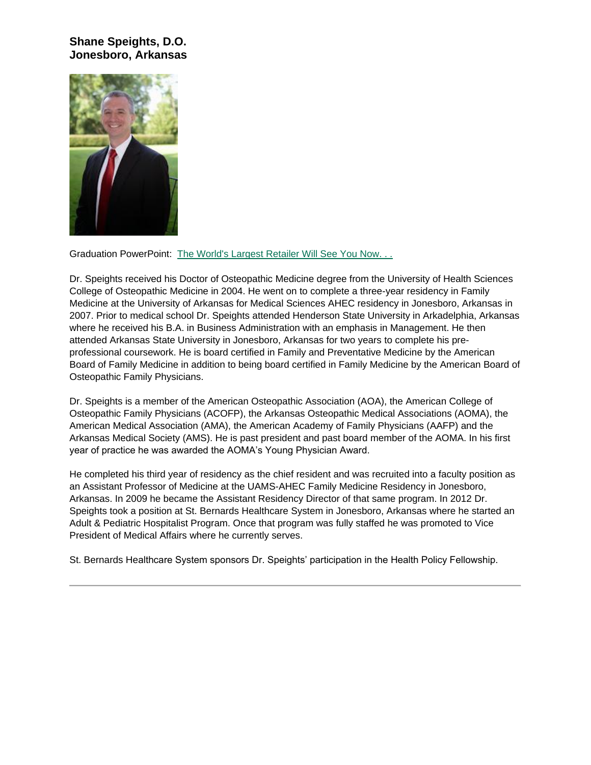#### **Shane Speights, D.O. Jonesboro, Arkansas**



Graduation PowerPoint: [The World's Largest Retailer Will See You Now. . .](http://www.oucom.ohiou.edu/hpf/pdf/September%202015/Speights%20HPF%20Walmart%20Final.pptx%20REV.pdf)

Dr. Speights received his Doctor of Osteopathic Medicine degree from the University of Health Sciences College of Osteopathic Medicine in 2004. He went on to complete a three-year residency in Family Medicine at the University of Arkansas for Medical Sciences AHEC residency in Jonesboro, Arkansas in 2007. Prior to medical school Dr. Speights attended Henderson State University in Arkadelphia, Arkansas where he received his B.A. in Business Administration with an emphasis in Management. He then attended Arkansas State University in Jonesboro, Arkansas for two years to complete his preprofessional coursework. He is board certified in Family and Preventative Medicine by the American Board of Family Medicine in addition to being board certified in Family Medicine by the American Board of Osteopathic Family Physicians.

Dr. Speights is a member of the American Osteopathic Association (AOA), the American College of Osteopathic Family Physicians (ACOFP), the Arkansas Osteopathic Medical Associations (AOMA), the American Medical Association (AMA), the American Academy of Family Physicians (AAFP) and the Arkansas Medical Society (AMS). He is past president and past board member of the AOMA. In his first year of practice he was awarded the AOMA's Young Physician Award.

He completed his third year of residency as the chief resident and was recruited into a faculty position as an Assistant Professor of Medicine at the UAMS-AHEC Family Medicine Residency in Jonesboro, Arkansas. In 2009 he became the Assistant Residency Director of that same program. In 2012 Dr. Speights took a position at St. Bernards Healthcare System in Jonesboro, Arkansas where he started an Adult & Pediatric Hospitalist Program. Once that program was fully staffed he was promoted to Vice President of Medical Affairs where he currently serves.

St. Bernards Healthcare System sponsors Dr. Speights' participation in the Health Policy Fellowship.